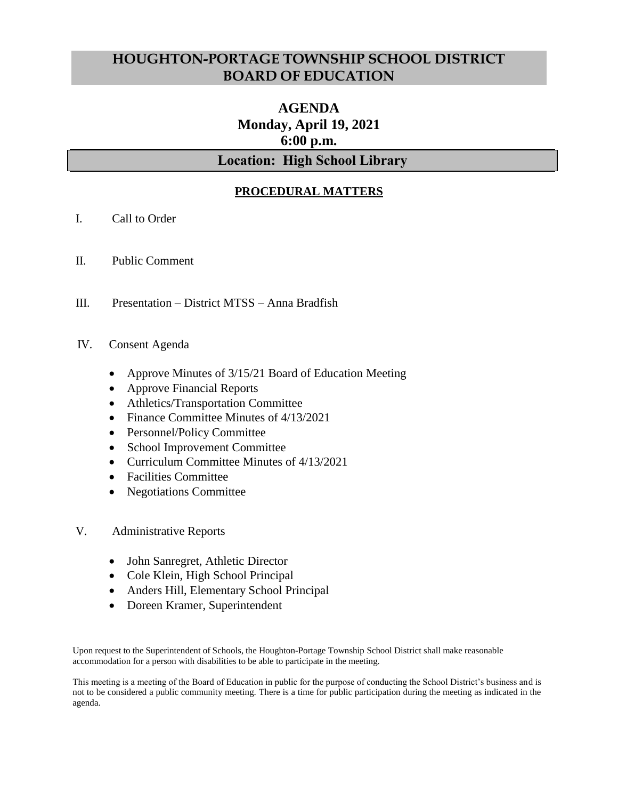## **HOUGHTON-PORTAGE TOWNSHIP SCHOOL DISTRICT BOARD OF EDUCATION**

# **AGENDA Monday, April 19, 2021 6:00 p.m.**

## **Location: High School Library**

## **PROCEDURAL MATTERS**

- I. Call to Order
- II. Public Comment
- III. Presentation District MTSS Anna Bradfish

#### IV. Consent Agenda

- Approve Minutes of 3/15/21 Board of Education Meeting
- Approve Financial Reports
- Athletics/Transportation Committee
- Finance Committee Minutes of 4/13/2021
- Personnel/Policy Committee
- School Improvement Committee
- Curriculum Committee Minutes of 4/13/2021
- Facilities Committee
- Negotiations Committee
- V. Administrative Reports
	- John Sanregret, Athletic Director
	- Cole Klein, High School Principal
	- Anders Hill, Elementary School Principal
	- Doreen Kramer, Superintendent

Upon request to the Superintendent of Schools, the Houghton-Portage Township School District shall make reasonable accommodation for a person with disabilities to be able to participate in the meeting.

This meeting is a meeting of the Board of Education in public for the purpose of conducting the School District's business and is not to be considered a public community meeting. There is a time for public participation during the meeting as indicated in the agenda.